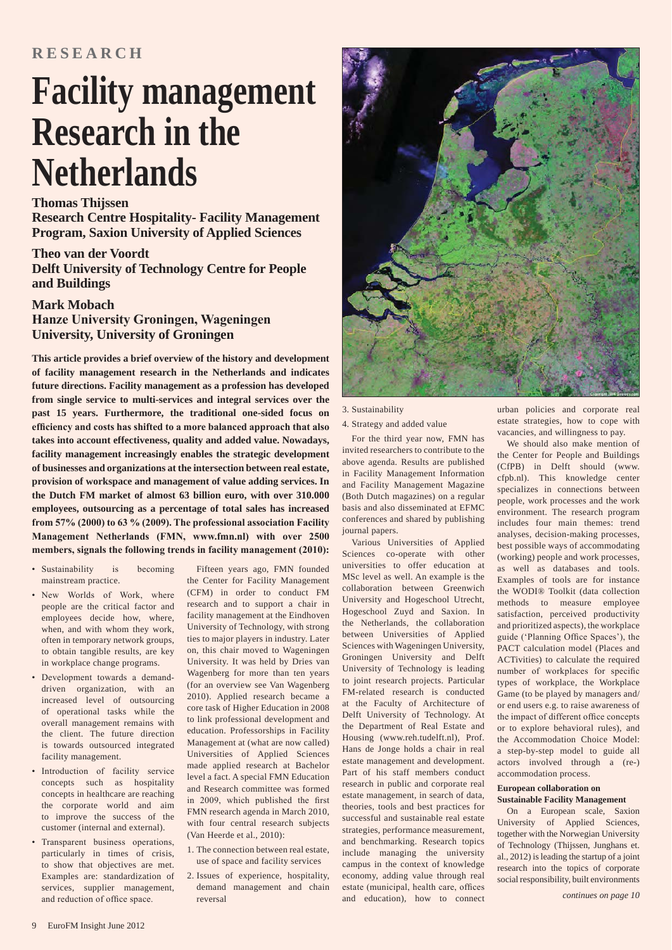# **Facility management Research in the Netherlands**

# **Thomas Thijssen**

**Research Centre Hospitality- Facility Management Program, Saxion University of Applied Sciences**

**Theo van der Voordt Delft University of Technology Centre for People and Buildings**

# **Mark Mobach Hanze University Groningen, Wageningen University, University of Groningen**

**This article provides a brief overview of the history and development of facility management research in the Netherlands and indicates future directions. Facility management as a profession has developed from single service to multi-services and integral services over the past 15 years. Furthermore, the traditional one-sided focus on**  efficiency and costs has shifted to a more balanced approach that also **takes into account effectiveness, quality and added value. Nowadays, facility management increasingly enables the strategic development of businesses and organizations at the intersection between real estate, provision of workspace and management of value adding services. In the Dutch FM market of almost 63 billion euro, with over 310.000 employees, outsourcing as a percentage of total sales has increased**  from 57% (2000) to 63 % (2009). The professional association Facility **Management Netherlands (FMN, www.fmn.nl) with over 2500** members, signals the following trends in facility management (2010):

- Sustainability is becoming mainstream practice.
- New Worlds of Work, where people are the critical factor and employees decide how, where, when, and with whom they work, often in temporary network groups, to obtain tangible results, are key in workplace change programs.
- Development towards a demanddriven organization, with an increased level of outsourcing of operational tasks while the overall management remains with the client. The future direction is towards outsourced integrated facility management.
- Introduction of facility service concepts such as hospitality concepts in healthcare are reaching the corporate world and aim to improve the success of the customer (internal and external).
- Transparent business operations, particularly in times of crisis, to show that objectives are met. Examples are: standardization of services, supplier management, and reduction of office space.

Fifteen years ago, FMN founded the Center for Facility Management (CFM) in order to conduct FM research and to support a chair in facility management at the Eindhoven University of Technology, with strong ties to major players in industry. Later on, this chair moved to Wageningen University. It was held by Dries van Wagenberg for more than ten years (for an overview see Van Wagenberg 2010). Applied research became a core task of Higher Education in 2008 to link professional development and education. Professorships in Facility Management at (what are now called) Universities of Applied Sciences made applied research at Bachelor level a fact. A special FMN Education and Research committee was formed in 2009, which published the first FMN research agenda in March 2010, with four central research subjects (Van Heerde et al., 2010):

- 1. The connection between real estate, use of space and facility services
- 2. Issues of experience, hospitality, demand management and chain reversal



## 3. Sustainability

## 4. Strategy and added value

For the third year now, FMN has invited researchers to contribute to the above agenda. Results are published in Facility Management Information and Facility Management Magazine (Both Dutch magazines) on a regular basis and also disseminated at EFMC conferences and shared by publishing journal papers.

Various Universities of Applied Sciences co-operate with other universities to offer education at MSc level as well. An example is the collaboration between Greenwich University and Hogeschool Utrecht, Hogeschool Zuyd and Saxion. In the Netherlands, the collaboration between Universities of Applied Sciences with Wageningen University, Groningen University and Delft University of Technology is leading to joint research projects. Particular FM-related research is conducted at the Faculty of Architecture of Delft University of Technology. At the Department of Real Estate and Housing (www.reh.tudelft.nl), Prof. Hans de Jonge holds a chair in real estate management and development. Part of his staff members conduct research in public and corporate real estate management, in search of data, theories, tools and best practices for successful and sustainable real estate strategies, performance measurement, and benchmarking. Research topics include managing the university campus in the context of knowledge economy, adding value through real estate (municipal, health care, offices and education), how to connect

urban policies and corporate real estate strategies, how to cope with vacancies, and willingness to pay.

We should also make mention of the Center for People and Buildings (CfPB) in Delft should (www. cfpb.nl). This knowledge center specializes in connections between people, work processes and the work environment. The research program includes four main themes: trend analyses, decision-making processes, best possible ways of accommodating (working) people and work processes, as well as databases and tools. Examples of tools are for instance the WODI® Toolkit (data collection methods to measure employee satisfaction, perceived productivity and prioritized aspects), the workplace guide ('Planning Office Spaces'), the PACT calculation model (Places and ACTivities) to calculate the required number of workplaces for specific types of workplace, the Workplace Game (to be played by managers and/ or end users e.g. to raise awareness of the impact of different office concepts or to explore behavioral rules), and the Accommodation Choice Model: a step-by-step model to guide all actors involved through a (re-) accommodation process.

#### **European collaboration on Sustainable Facility Management**

On a European scale, Saxion University of Applied Sciences, together with the Norwegian University of Technology (Thijssen, Junghans et. al., 2012) is leading the startup of a joint research into the topics of corporate social responsibility, built environments